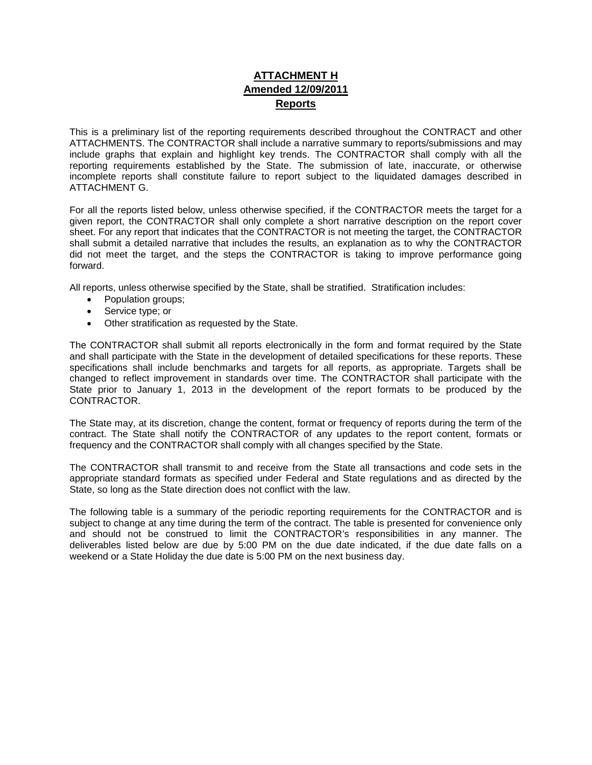## **ATTACHMENT H Amended 12/09/2011 Reports**

This is a preliminary list of the reporting requirements described throughout the CONTRACT and other ATTACHMENTS. The CONTRACTOR shall include a narrative summary to reports/submissions and may include graphs that explain and highlight key trends. The CONTRACTOR shall comply with all the reporting requirements established by the State. The submission of late, inaccurate, or otherwise incomplete reports shall constitute failure to report subject to the liquidated damages described in ATTACHMENT G.

For all the reports listed below, unless otherwise specified, if the CONTRACTOR meets the target for a given report, the CONTRACTOR shall only complete a short narrative description on the report cover sheet. For any report that indicates that the CONTRACTOR is not meeting the target, the CONTRACTOR shall submit a detailed narrative that includes the results, an explanation as to why the CONTRACTOR did not meet the target, and the steps the CONTRACTOR is taking to improve performance going forward.

All reports, unless otherwise specified by the State, shall be stratified. Stratification includes:

- Population groups;
- Service type; or
- Other stratification as requested by the State.

The CONTRACTOR shall submit all reports electronically in the form and format required by the State and shall participate with the State in the development of detailed specifications for these reports. These specifications shall include benchmarks and targets for all reports, as appropriate. Targets shall be changed to reflect improvement in standards over time. The CONTRACTOR shall participate with the State prior to January 1, 2013 in the development of the report formats to be produced by the CONTRACTOR.

The State may, at its discretion, change the content, format or frequency of reports during the term of the contract. The State shall notify the CONTRACTOR of any updates to the report content, formats or frequency and the CONTRACTOR shall comply with all changes specified by the State.

The CONTRACTOR shall transmit to and receive from the State all transactions and code sets in the appropriate standard formats as specified under Federal and State regulations and as directed by the State, so long as the State direction does not conflict with the law.

The following table is a summary of the periodic reporting requirements for the CONTRACTOR and is subject to change at any time during the term of the contract. The table is presented for convenience only and should not be construed to limit the CONTRACTOR's responsibilities in any manner. The deliverables listed below are due by 5:00 PM on the due date indicated, if the due date falls on a weekend or a State Holiday the due date is 5:00 PM on the next business day.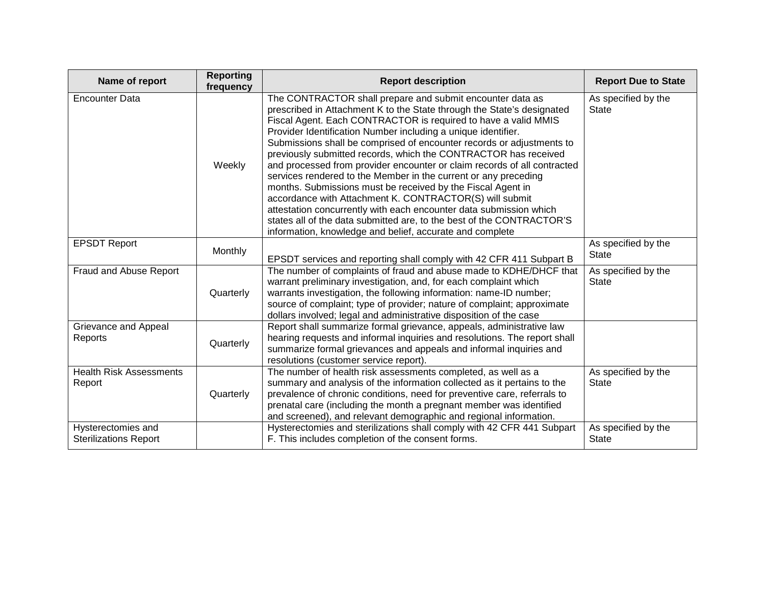| Name of report                                     | <b>Reporting</b><br>frequency | <b>Report description</b>                                                                                                                                                                                                                                                                                                                                                                                                                                                                                                                                                                                                                                                                                                                                                                                                                                                                              | <b>Report Due to State</b>          |
|----------------------------------------------------|-------------------------------|--------------------------------------------------------------------------------------------------------------------------------------------------------------------------------------------------------------------------------------------------------------------------------------------------------------------------------------------------------------------------------------------------------------------------------------------------------------------------------------------------------------------------------------------------------------------------------------------------------------------------------------------------------------------------------------------------------------------------------------------------------------------------------------------------------------------------------------------------------------------------------------------------------|-------------------------------------|
| <b>Encounter Data</b>                              | Weekly                        | The CONTRACTOR shall prepare and submit encounter data as<br>prescribed in Attachment K to the State through the State's designated<br>Fiscal Agent. Each CONTRACTOR is required to have a valid MMIS<br>Provider Identification Number including a unique identifier.<br>Submissions shall be comprised of encounter records or adjustments to<br>previously submitted records, which the CONTRACTOR has received<br>and processed from provider encounter or claim records of all contracted<br>services rendered to the Member in the current or any preceding<br>months. Submissions must be received by the Fiscal Agent in<br>accordance with Attachment K. CONTRACTOR(S) will submit<br>attestation concurrently with each encounter data submission which<br>states all of the data submitted are, to the best of the CONTRACTOR'S<br>information, knowledge and belief, accurate and complete | As specified by the<br><b>State</b> |
| <b>EPSDT Report</b>                                | Monthly                       | EPSDT services and reporting shall comply with 42 CFR 411 Subpart B                                                                                                                                                                                                                                                                                                                                                                                                                                                                                                                                                                                                                                                                                                                                                                                                                                    | As specified by the<br><b>State</b> |
| Fraud and Abuse Report                             | Quarterly                     | The number of complaints of fraud and abuse made to KDHE/DHCF that<br>warrant preliminary investigation, and, for each complaint which<br>warrants investigation, the following information: name-ID number;<br>source of complaint; type of provider; nature of complaint; approximate<br>dollars involved; legal and administrative disposition of the case                                                                                                                                                                                                                                                                                                                                                                                                                                                                                                                                          | As specified by the<br><b>State</b> |
| Grievance and Appeal<br>Reports                    | Quarterly                     | Report shall summarize formal grievance, appeals, administrative law<br>hearing requests and informal inquiries and resolutions. The report shall<br>summarize formal grievances and appeals and informal inquiries and<br>resolutions (customer service report).                                                                                                                                                                                                                                                                                                                                                                                                                                                                                                                                                                                                                                      |                                     |
| <b>Health Risk Assessments</b><br>Report           | Quarterly                     | The number of health risk assessments completed, as well as a<br>summary and analysis of the information collected as it pertains to the<br>prevalence of chronic conditions, need for preventive care, referrals to<br>prenatal care (including the month a pregnant member was identified<br>and screened), and relevant demographic and regional information.                                                                                                                                                                                                                                                                                                                                                                                                                                                                                                                                       | As specified by the<br><b>State</b> |
| Hysterectomies and<br><b>Sterilizations Report</b> |                               | Hysterectomies and sterilizations shall comply with 42 CFR 441 Subpart<br>F. This includes completion of the consent forms.                                                                                                                                                                                                                                                                                                                                                                                                                                                                                                                                                                                                                                                                                                                                                                            | As specified by the<br><b>State</b> |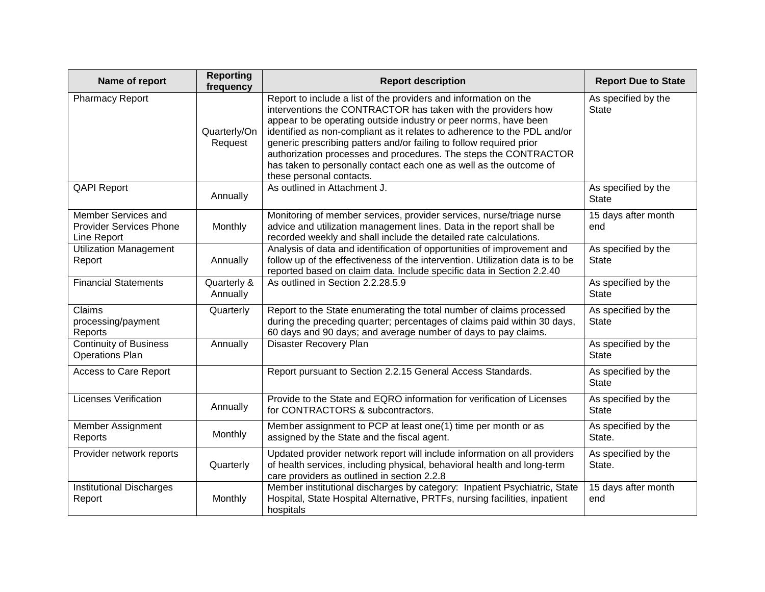| Name of report                                                       | <b>Reporting</b><br>frequency | <b>Report description</b>                                                                                                                                                                                                                                                                                                                                                                                                                                                                                                      | <b>Report Due to State</b>          |
|----------------------------------------------------------------------|-------------------------------|--------------------------------------------------------------------------------------------------------------------------------------------------------------------------------------------------------------------------------------------------------------------------------------------------------------------------------------------------------------------------------------------------------------------------------------------------------------------------------------------------------------------------------|-------------------------------------|
| Pharmacy Report                                                      | Quarterly/On<br>Request       | Report to include a list of the providers and information on the<br>interventions the CONTRACTOR has taken with the providers how<br>appear to be operating outside industry or peer norms, have been<br>identified as non-compliant as it relates to adherence to the PDL and/or<br>generic prescribing patters and/or failing to follow required prior<br>authorization processes and procedures. The steps the CONTRACTOR<br>has taken to personally contact each one as well as the outcome of<br>these personal contacts. | As specified by the<br><b>State</b> |
| <b>QAPI Report</b>                                                   | Annually                      | As outlined in Attachment J.                                                                                                                                                                                                                                                                                                                                                                                                                                                                                                   | As specified by the<br><b>State</b> |
| Member Services and<br><b>Provider Services Phone</b><br>Line Report | Monthly                       | Monitoring of member services, provider services, nurse/triage nurse<br>advice and utilization management lines. Data in the report shall be<br>recorded weekly and shall include the detailed rate calculations.                                                                                                                                                                                                                                                                                                              | 15 days after month<br>end          |
| <b>Utilization Management</b><br>Report                              | Annually                      | Analysis of data and identification of opportunities of improvement and<br>follow up of the effectiveness of the intervention. Utilization data is to be<br>reported based on claim data. Include specific data in Section 2.2.40                                                                                                                                                                                                                                                                                              | As specified by the<br><b>State</b> |
| <b>Financial Statements</b>                                          | Quarterly &<br>Annually       | As outlined in Section 2.2.28.5.9                                                                                                                                                                                                                                                                                                                                                                                                                                                                                              | As specified by the<br><b>State</b> |
| Claims<br>processing/payment<br>Reports                              | Quarterly                     | Report to the State enumerating the total number of claims processed<br>during the preceding quarter; percentages of claims paid within 30 days,<br>60 days and 90 days; and average number of days to pay claims.                                                                                                                                                                                                                                                                                                             | As specified by the<br><b>State</b> |
| Continuity of Business<br><b>Operations Plan</b>                     | Annually                      | <b>Disaster Recovery Plan</b>                                                                                                                                                                                                                                                                                                                                                                                                                                                                                                  | As specified by the<br><b>State</b> |
| Access to Care Report                                                |                               | Report pursuant to Section 2.2.15 General Access Standards.                                                                                                                                                                                                                                                                                                                                                                                                                                                                    | As specified by the<br><b>State</b> |
| <b>Licenses Verification</b>                                         | Annually                      | Provide to the State and EQRO information for verification of Licenses<br>for CONTRACTORS & subcontractors.                                                                                                                                                                                                                                                                                                                                                                                                                    | As specified by the<br><b>State</b> |
| Member Assignment<br>Reports                                         | Monthly                       | Member assignment to PCP at least one(1) time per month or as<br>assigned by the State and the fiscal agent.                                                                                                                                                                                                                                                                                                                                                                                                                   | As specified by the<br>State.       |
| Provider network reports                                             | Quarterly                     | Updated provider network report will include information on all providers<br>of health services, including physical, behavioral health and long-term<br>care providers as outlined in section 2.2.8                                                                                                                                                                                                                                                                                                                            | As specified by the<br>State.       |
| <b>Institutional Discharges</b><br>Report                            | Monthly                       | Member institutional discharges by category: Inpatient Psychiatric, State<br>Hospital, State Hospital Alternative, PRTFs, nursing facilities, inpatient<br>hospitals                                                                                                                                                                                                                                                                                                                                                           | 15 days after month<br>end          |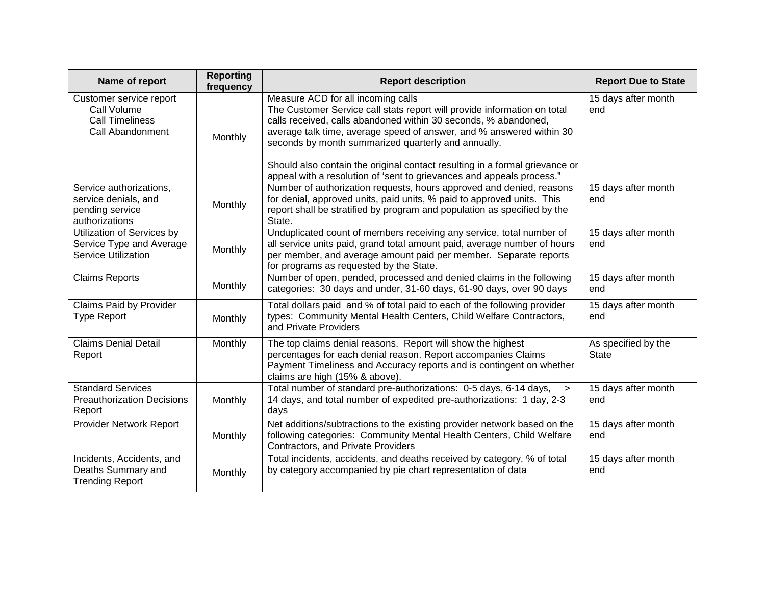| Name of report                                                                       | <b>Reporting</b><br>frequency | <b>Report description</b>                                                                                                                                                                                                                                                                                                                                                                                                                                                | <b>Report Due to State</b>          |
|--------------------------------------------------------------------------------------|-------------------------------|--------------------------------------------------------------------------------------------------------------------------------------------------------------------------------------------------------------------------------------------------------------------------------------------------------------------------------------------------------------------------------------------------------------------------------------------------------------------------|-------------------------------------|
| Customer service report<br>Call Volume<br><b>Call Timeliness</b><br>Call Abandonment | Monthly                       | Measure ACD for all incoming calls<br>The Customer Service call stats report will provide information on total<br>calls received, calls abandoned within 30 seconds, % abandoned,<br>average talk time, average speed of answer, and % answered within 30<br>seconds by month summarized quarterly and annually.<br>Should also contain the original contact resulting in a formal grievance or<br>appeal with a resolution of 'sent to grievances and appeals process." | 15 days after month<br>end          |
| Service authorizations,<br>service denials, and<br>pending service<br>authorizations | Monthly                       | Number of authorization requests, hours approved and denied, reasons<br>for denial, approved units, paid units, % paid to approved units. This<br>report shall be stratified by program and population as specified by the<br>State.                                                                                                                                                                                                                                     | 15 days after month<br>end          |
| Utilization of Services by<br>Service Type and Average<br><b>Service Utilization</b> | Monthly                       | Unduplicated count of members receiving any service, total number of<br>all service units paid, grand total amount paid, average number of hours<br>per member, and average amount paid per member. Separate reports<br>for programs as requested by the State.                                                                                                                                                                                                          | 15 days after month<br>end          |
| <b>Claims Reports</b>                                                                | Monthly                       | Number of open, pended, processed and denied claims in the following<br>categories: 30 days and under, 31-60 days, 61-90 days, over 90 days                                                                                                                                                                                                                                                                                                                              | 15 days after month<br>end          |
| Claims Paid by Provider<br><b>Type Report</b>                                        | Monthly                       | Total dollars paid and % of total paid to each of the following provider<br>types: Community Mental Health Centers, Child Welfare Contractors,<br>and Private Providers                                                                                                                                                                                                                                                                                                  | 15 days after month<br>end          |
| <b>Claims Denial Detail</b><br>Report                                                | Monthly                       | The top claims denial reasons. Report will show the highest<br>percentages for each denial reason. Report accompanies Claims<br>Payment Timeliness and Accuracy reports and is contingent on whether<br>claims are high (15% & above).                                                                                                                                                                                                                                   | As specified by the<br><b>State</b> |
| <b>Standard Services</b><br><b>Preauthorization Decisions</b><br>Report              | Monthly                       | Total number of standard pre-authorizations: 0-5 days, 6-14 days,<br>$\geq$<br>14 days, and total number of expedited pre-authorizations: 1 day, 2-3<br>days                                                                                                                                                                                                                                                                                                             | 15 days after month<br>end          |
| Provider Network Report                                                              | Monthly                       | Net additions/subtractions to the existing provider network based on the<br>following categories: Community Mental Health Centers, Child Welfare<br>Contractors, and Private Providers                                                                                                                                                                                                                                                                                   | 15 days after month<br>end          |
| Incidents, Accidents, and<br>Deaths Summary and<br><b>Trending Report</b>            | Monthly                       | Total incidents, accidents, and deaths received by category, % of total<br>by category accompanied by pie chart representation of data                                                                                                                                                                                                                                                                                                                                   | 15 days after month<br>end          |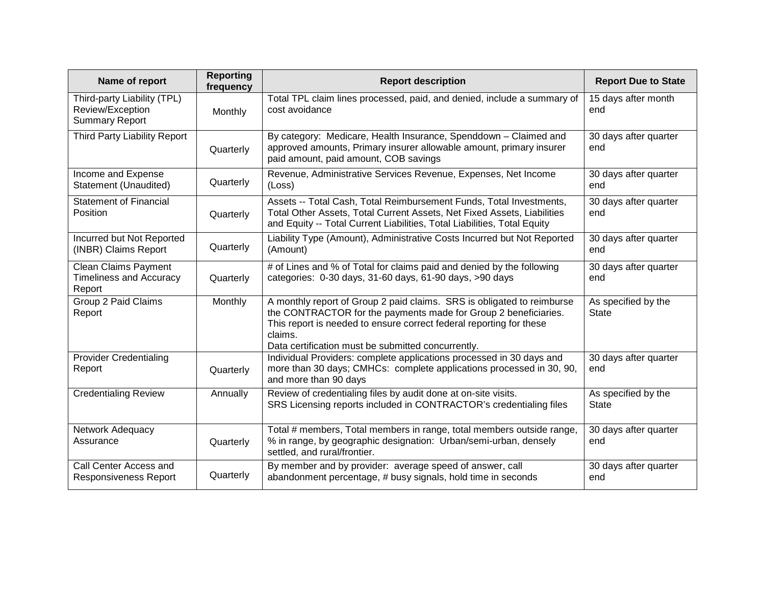| Name of report                                                           | <b>Reporting</b><br>frequency | <b>Report description</b>                                                                                                                                                                                                                                                         | <b>Report Due to State</b>          |
|--------------------------------------------------------------------------|-------------------------------|-----------------------------------------------------------------------------------------------------------------------------------------------------------------------------------------------------------------------------------------------------------------------------------|-------------------------------------|
| Third-party Liability (TPL)<br>Review/Exception<br><b>Summary Report</b> | Monthly                       | Total TPL claim lines processed, paid, and denied, include a summary of<br>cost avoidance                                                                                                                                                                                         | 15 days after month<br>end          |
| Third Party Liability Report                                             | Quarterly                     | By category: Medicare, Health Insurance, Spenddown - Claimed and<br>approved amounts, Primary insurer allowable amount, primary insurer<br>paid amount, paid amount, COB savings                                                                                                  | 30 days after quarter<br>end        |
| Income and Expense<br>Statement (Unaudited)                              | Quarterly                     | Revenue, Administrative Services Revenue, Expenses, Net Income<br>(Loss)                                                                                                                                                                                                          | 30 days after quarter<br>end        |
| <b>Statement of Financial</b><br>Position                                | Quarterly                     | Assets -- Total Cash, Total Reimbursement Funds, Total Investments,<br>Total Other Assets, Total Current Assets, Net Fixed Assets, Liabilities<br>and Equity -- Total Current Liabilities, Total Liabilities, Total Equity                                                        | 30 days after quarter<br>end        |
| Incurred but Not Reported<br>(INBR) Claims Report                        | Quarterly                     | Liability Type (Amount), Administrative Costs Incurred but Not Reported<br>(Amount)                                                                                                                                                                                               | 30 days after quarter<br>end        |
| <b>Clean Claims Payment</b><br><b>Timeliness and Accuracy</b><br>Report  | Quarterly                     | # of Lines and % of Total for claims paid and denied by the following<br>categories: 0-30 days, 31-60 days, 61-90 days, >90 days                                                                                                                                                  | 30 days after quarter<br>end        |
| Group 2 Paid Claims<br>Report                                            | Monthly                       | A monthly report of Group 2 paid claims. SRS is obligated to reimburse<br>the CONTRACTOR for the payments made for Group 2 beneficiaries.<br>This report is needed to ensure correct federal reporting for these<br>claims.<br>Data certification must be submitted concurrently. | As specified by the<br><b>State</b> |
| <b>Provider Credentialing</b><br>Report                                  | Quarterly                     | Individual Providers: complete applications processed in 30 days and<br>more than 30 days; CMHCs: complete applications processed in 30, 90,<br>and more than 90 days                                                                                                             | 30 days after quarter<br>end        |
| <b>Credentialing Review</b>                                              | Annually                      | Review of credentialing files by audit done at on-site visits.<br>SRS Licensing reports included in CONTRACTOR's credentialing files                                                                                                                                              | As specified by the<br><b>State</b> |
| Network Adequacy<br>Assurance                                            | Quarterly                     | Total # members, Total members in range, total members outside range,<br>% in range, by geographic designation: Urban/semi-urban, densely<br>settled, and rural/frontier.                                                                                                         | 30 days after quarter<br>end        |
| Call Center Access and<br><b>Responsiveness Report</b>                   | Quarterly                     | By member and by provider: average speed of answer, call<br>abandonment percentage, # busy signals, hold time in seconds                                                                                                                                                          | 30 days after quarter<br>end        |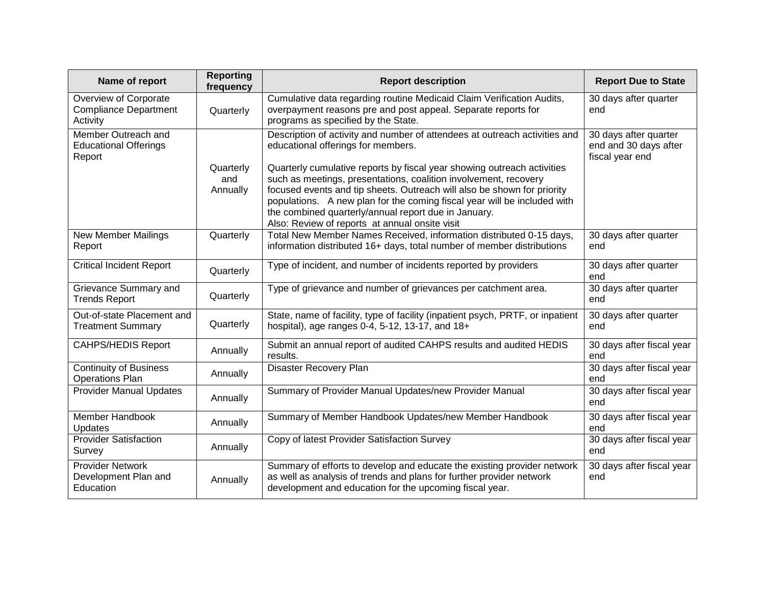| Name of report                                                    | <b>Reporting</b><br>frequency | <b>Report description</b>                                                                                                                                                                                                                                                                                                         | <b>Report Due to State</b>                                        |
|-------------------------------------------------------------------|-------------------------------|-----------------------------------------------------------------------------------------------------------------------------------------------------------------------------------------------------------------------------------------------------------------------------------------------------------------------------------|-------------------------------------------------------------------|
| Overview of Corporate<br><b>Compliance Department</b><br>Activity | Quarterly                     | Cumulative data regarding routine Medicaid Claim Verification Audits,<br>overpayment reasons pre and post appeal. Separate reports for<br>programs as specified by the State.                                                                                                                                                     | 30 days after quarter<br>end                                      |
| Member Outreach and<br><b>Educational Offerings</b><br>Report     |                               | Description of activity and number of attendees at outreach activities and<br>educational offerings for members.<br>Quarterly cumulative reports by fiscal year showing outreach activities                                                                                                                                       | 30 days after quarter<br>end and 30 days after<br>fiscal year end |
|                                                                   | Quarterly<br>and<br>Annually  | such as meetings, presentations, coalition involvement, recovery<br>focused events and tip sheets. Outreach will also be shown for priority<br>populations. A new plan for the coming fiscal year will be included with<br>the combined quarterly/annual report due in January.<br>Also: Review of reports at annual onsite visit |                                                                   |
| <b>New Member Mailings</b><br>Report                              | Quarterly                     | Total New Member Names Received, information distributed 0-15 days,<br>information distributed 16+ days, total number of member distributions                                                                                                                                                                                     | 30 days after quarter<br>end                                      |
| <b>Critical Incident Report</b>                                   | Quarterly                     | Type of incident, and number of incidents reported by providers                                                                                                                                                                                                                                                                   | 30 days after quarter<br>end                                      |
| Grievance Summary and<br><b>Trends Report</b>                     | Quarterly                     | Type of grievance and number of grievances per catchment area.                                                                                                                                                                                                                                                                    | 30 days after quarter<br>end                                      |
| Out-of-state Placement and<br><b>Treatment Summary</b>            | Quarterly                     | State, name of facility, type of facility (inpatient psych, PRTF, or inpatient<br>hospital), age ranges 0-4, 5-12, 13-17, and 18+                                                                                                                                                                                                 | 30 days after quarter<br>end                                      |
| <b>CAHPS/HEDIS Report</b>                                         | Annually                      | Submit an annual report of audited CAHPS results and audited HEDIS<br>results.                                                                                                                                                                                                                                                    | 30 days after fiscal year<br>end                                  |
| <b>Continuity of Business</b><br><b>Operations Plan</b>           | Annually                      | Disaster Recovery Plan                                                                                                                                                                                                                                                                                                            | 30 days after fiscal year<br>end                                  |
| <b>Provider Manual Updates</b>                                    | Annually                      | Summary of Provider Manual Updates/new Provider Manual                                                                                                                                                                                                                                                                            | 30 days after fiscal year<br>end                                  |
| Member Handbook<br>Updates                                        | Annually                      | Summary of Member Handbook Updates/new Member Handbook                                                                                                                                                                                                                                                                            | 30 days after fiscal year<br>end                                  |
| <b>Provider Satisfaction</b><br>Survey                            | Annually                      | Copy of latest Provider Satisfaction Survey                                                                                                                                                                                                                                                                                       | 30 days after fiscal year<br>end                                  |
| <b>Provider Network</b><br>Development Plan and<br>Education      | Annually                      | Summary of efforts to develop and educate the existing provider network<br>as well as analysis of trends and plans for further provider network<br>development and education for the upcoming fiscal year.                                                                                                                        | 30 days after fiscal year<br>end                                  |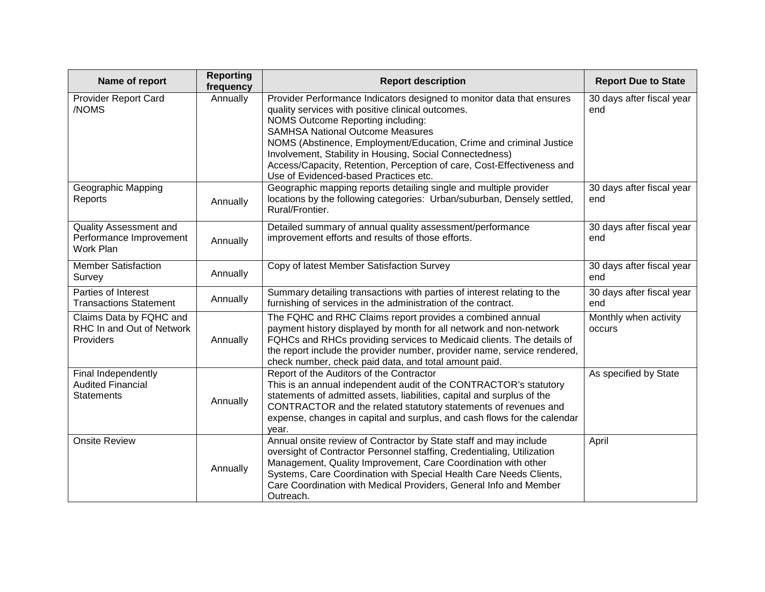| Name of report                                                       | <b>Reporting</b><br>frequency | <b>Report description</b>                                                                                                                                                                                                                                                                                                                                                                                                                                       | <b>Report Due to State</b>       |
|----------------------------------------------------------------------|-------------------------------|-----------------------------------------------------------------------------------------------------------------------------------------------------------------------------------------------------------------------------------------------------------------------------------------------------------------------------------------------------------------------------------------------------------------------------------------------------------------|----------------------------------|
| <b>Provider Report Card</b><br>/NOMS                                 | Annually                      | Provider Performance Indicators designed to monitor data that ensures<br>quality services with positive clinical outcomes.<br>NOMS Outcome Reporting including:<br><b>SAMHSA National Outcome Measures</b><br>NOMS (Abstinence, Employment/Education, Crime and criminal Justice<br>Involvement, Stability in Housing, Social Connectedness)<br>Access/Capacity, Retention, Perception of care, Cost-Effectiveness and<br>Use of Evidenced-based Practices etc. | 30 days after fiscal year<br>end |
| Geographic Mapping<br>Reports                                        | Annually                      | Geographic mapping reports detailing single and multiple provider<br>locations by the following categories: Urban/suburban, Densely settled,<br>Rural/Frontier.                                                                                                                                                                                                                                                                                                 | 30 days after fiscal year<br>end |
| Quality Assessment and<br>Performance Improvement<br>Work Plan       | Annually                      | Detailed summary of annual quality assessment/performance<br>improvement efforts and results of those efforts.                                                                                                                                                                                                                                                                                                                                                  | 30 days after fiscal year<br>end |
| <b>Member Satisfaction</b><br>Survey                                 | Annually                      | Copy of latest Member Satisfaction Survey                                                                                                                                                                                                                                                                                                                                                                                                                       | 30 days after fiscal year<br>end |
| Parties of Interest<br><b>Transactions Statement</b>                 | Annually                      | Summary detailing transactions with parties of interest relating to the<br>furnishing of services in the administration of the contract.                                                                                                                                                                                                                                                                                                                        | 30 days after fiscal year<br>end |
| Claims Data by FQHC and<br>RHC In and Out of Network<br>Providers    | Annually                      | The FQHC and RHC Claims report provides a combined annual<br>payment history displayed by month for all network and non-network<br>FQHCs and RHCs providing services to Medicaid clients. The details of<br>the report include the provider number, provider name, service rendered,<br>check number, check paid data, and total amount paid.                                                                                                                   | Monthly when activity<br>occurs  |
| Final Independently<br><b>Audited Financial</b><br><b>Statements</b> | Annually                      | Report of the Auditors of the Contractor<br>This is an annual independent audit of the CONTRACTOR's statutory<br>statements of admitted assets, liabilities, capital and surplus of the<br>CONTRACTOR and the related statutory statements of revenues and<br>expense, changes in capital and surplus, and cash flows for the calendar<br>year.                                                                                                                 | As specified by State            |
| <b>Onsite Review</b>                                                 | Annually                      | Annual onsite review of Contractor by State staff and may include<br>oversight of Contractor Personnel staffing, Credentialing, Utilization<br>Management, Quality Improvement, Care Coordination with other<br>Systems, Care Coordination with Special Health Care Needs Clients,<br>Care Coordination with Medical Providers, General Info and Member<br>Outreach.                                                                                            | April                            |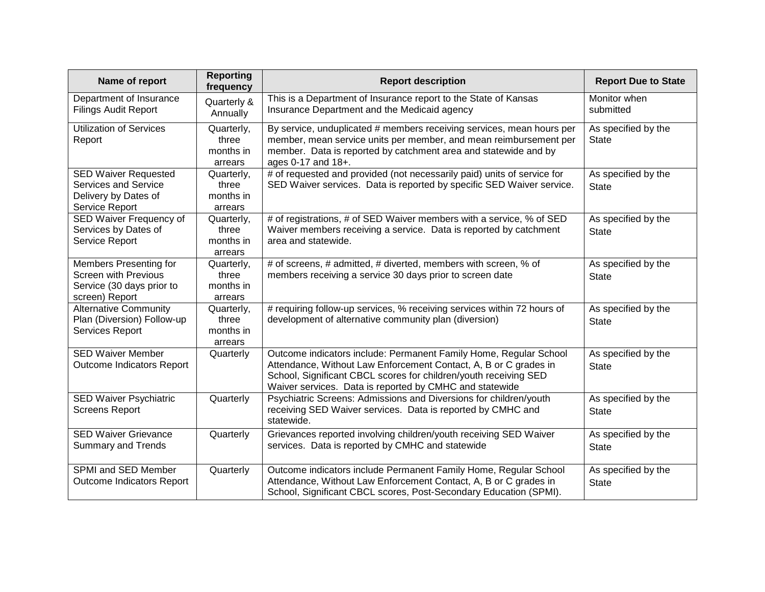| Name of report                                                                                       | <b>Reporting</b><br>frequency               | <b>Report description</b>                                                                                                                                                                                                                                            | <b>Report Due to State</b>          |
|------------------------------------------------------------------------------------------------------|---------------------------------------------|----------------------------------------------------------------------------------------------------------------------------------------------------------------------------------------------------------------------------------------------------------------------|-------------------------------------|
| Department of Insurance<br><b>Filings Audit Report</b>                                               | Quarterly &<br>Annually                     | This is a Department of Insurance report to the State of Kansas<br>Insurance Department and the Medicaid agency                                                                                                                                                      | Monitor when<br>submitted           |
| <b>Utilization of Services</b><br>Report                                                             | Quarterly,<br>three<br>months in<br>arrears | By service, unduplicated # members receiving services, mean hours per<br>member, mean service units per member, and mean reimbursement per<br>member. Data is reported by catchment area and statewide and by<br>ages 0-17 and 18+.                                  | As specified by the<br><b>State</b> |
| <b>SED Waiver Requested</b><br><b>Services and Service</b><br>Delivery by Dates of<br>Service Report | Quarterly,<br>three<br>months in<br>arrears | # of requested and provided (not necessarily paid) units of service for<br>SED Waiver services. Data is reported by specific SED Waiver service.                                                                                                                     | As specified by the<br><b>State</b> |
| SED Waiver Frequency of<br>Services by Dates of<br>Service Report                                    | Quarterly,<br>three<br>months in<br>arrears | # of registrations, # of SED Waiver members with a service, % of SED<br>Waiver members receiving a service. Data is reported by catchment<br>area and statewide.                                                                                                     | As specified by the<br><b>State</b> |
| Members Presenting for<br><b>Screen with Previous</b><br>Service (30 days prior to<br>screen) Report | Quarterly,<br>three<br>months in<br>arrears | # of screens, # admitted, # diverted, members with screen, % of<br>members receiving a service 30 days prior to screen date                                                                                                                                          | As specified by the<br><b>State</b> |
| <b>Alternative Community</b><br>Plan (Diversion) Follow-up<br>Services Report                        | Quarterly,<br>three<br>months in<br>arrears | # requiring follow-up services, % receiving services within 72 hours of<br>development of alternative community plan (diversion)                                                                                                                                     | As specified by the<br><b>State</b> |
| <b>SED Waiver Member</b><br>Outcome Indicators Report                                                | Quarterly                                   | Outcome indicators include: Permanent Family Home, Regular School<br>Attendance, Without Law Enforcement Contact, A, B or C grades in<br>School, Significant CBCL scores for children/youth receiving SED<br>Waiver services. Data is reported by CMHC and statewide | As specified by the<br><b>State</b> |
| SED Waiver Psychiatric<br><b>Screens Report</b>                                                      | Quarterly                                   | Psychiatric Screens: Admissions and Diversions for children/youth<br>receiving SED Waiver services. Data is reported by CMHC and<br>statewide.                                                                                                                       | As specified by the<br><b>State</b> |
| <b>SED Waiver Grievance</b><br><b>Summary and Trends</b>                                             | Quarterly                                   | Grievances reported involving children/youth receiving SED Waiver<br>services. Data is reported by CMHC and statewide                                                                                                                                                | As specified by the<br><b>State</b> |
| SPMI and SED Member<br>Outcome Indicators Report                                                     | Quarterly                                   | Outcome indicators include Permanent Family Home, Regular School<br>Attendance, Without Law Enforcement Contact, A, B or C grades in<br>School, Significant CBCL scores, Post-Secondary Education (SPMI).                                                            | As specified by the<br><b>State</b> |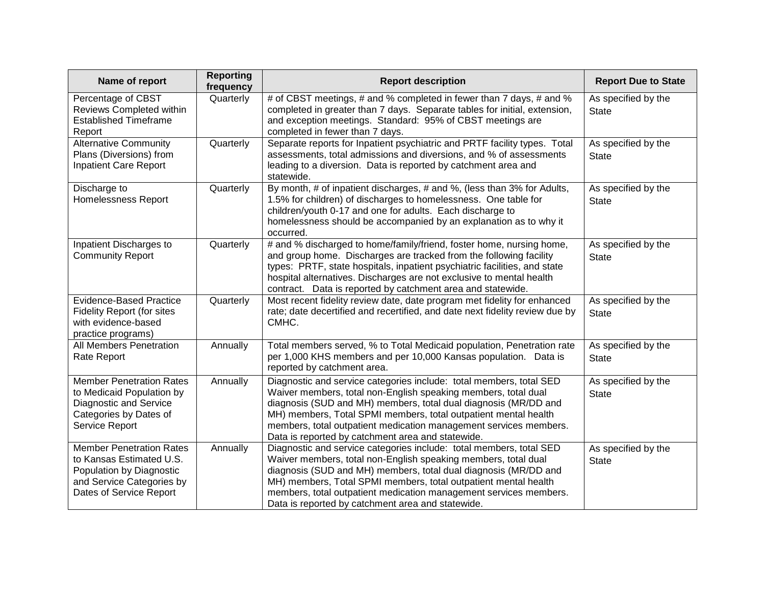| Name of report                                                                                                                                  | <b>Reporting</b><br>frequency | <b>Report description</b>                                                                                                                                                                                                                                                                                                                                                                             | <b>Report Due to State</b>          |
|-------------------------------------------------------------------------------------------------------------------------------------------------|-------------------------------|-------------------------------------------------------------------------------------------------------------------------------------------------------------------------------------------------------------------------------------------------------------------------------------------------------------------------------------------------------------------------------------------------------|-------------------------------------|
| Percentage of CBST<br>Reviews Completed within<br><b>Established Timeframe</b><br>Report                                                        | Quarterly                     | # of CBST meetings, # and % completed in fewer than 7 days, # and %<br>completed in greater than 7 days. Separate tables for initial, extension,<br>and exception meetings. Standard: 95% of CBST meetings are<br>completed in fewer than 7 days.                                                                                                                                                     | As specified by the<br><b>State</b> |
| <b>Alternative Community</b><br>Plans (Diversions) from<br>Inpatient Care Report                                                                | Quarterly                     | Separate reports for Inpatient psychiatric and PRTF facility types. Total<br>assessments, total admissions and diversions, and % of assessments<br>leading to a diversion. Data is reported by catchment area and<br>statewide.                                                                                                                                                                       | As specified by the<br><b>State</b> |
| Discharge to<br>Homelessness Report                                                                                                             | Quarterly                     | By month, # of inpatient discharges, # and %, (less than 3% for Adults,<br>1.5% for children) of discharges to homelessness. One table for<br>children/youth 0-17 and one for adults. Each discharge to<br>homelessness should be accompanied by an explanation as to why it<br>occurred.                                                                                                             | As specified by the<br><b>State</b> |
| Inpatient Discharges to<br><b>Community Report</b>                                                                                              | Quarterly                     | # and % discharged to home/family/friend, foster home, nursing home,<br>and group home. Discharges are tracked from the following facility<br>types: PRTF, state hospitals, inpatient psychiatric facilities, and state<br>hospital alternatives. Discharges are not exclusive to mental health<br>contract. Data is reported by catchment area and statewide.                                        | As specified by the<br><b>State</b> |
| <b>Evidence-Based Practice</b><br><b>Fidelity Report (for sites</b><br>with evidence-based<br>practice programs)                                | Quarterly                     | Most recent fidelity review date, date program met fidelity for enhanced<br>rate; date decertified and recertified, and date next fidelity review due by<br>CMHC.                                                                                                                                                                                                                                     | As specified by the<br><b>State</b> |
| <b>All Members Penetration</b><br>Rate Report                                                                                                   | Annually                      | Total members served, % to Total Medicaid population, Penetration rate<br>per 1,000 KHS members and per 10,000 Kansas population. Data is<br>reported by catchment area.                                                                                                                                                                                                                              | As specified by the<br><b>State</b> |
| <b>Member Penetration Rates</b><br>to Medicaid Population by<br><b>Diagnostic and Service</b><br>Categories by Dates of<br>Service Report       | Annually                      | Diagnostic and service categories include: total members, total SED<br>Waiver members, total non-English speaking members, total dual<br>diagnosis (SUD and MH) members, total dual diagnosis (MR/DD and<br>MH) members, Total SPMI members, total outpatient mental health<br>members, total outpatient medication management services members.<br>Data is reported by catchment area and statewide. | As specified by the<br><b>State</b> |
| <b>Member Penetration Rates</b><br>to Kansas Estimated U.S.<br>Population by Diagnostic<br>and Service Categories by<br>Dates of Service Report | Annually                      | Diagnostic and service categories include: total members, total SED<br>Waiver members, total non-English speaking members, total dual<br>diagnosis (SUD and MH) members, total dual diagnosis (MR/DD and<br>MH) members, Total SPMI members, total outpatient mental health<br>members, total outpatient medication management services members.<br>Data is reported by catchment area and statewide. | As specified by the<br><b>State</b> |